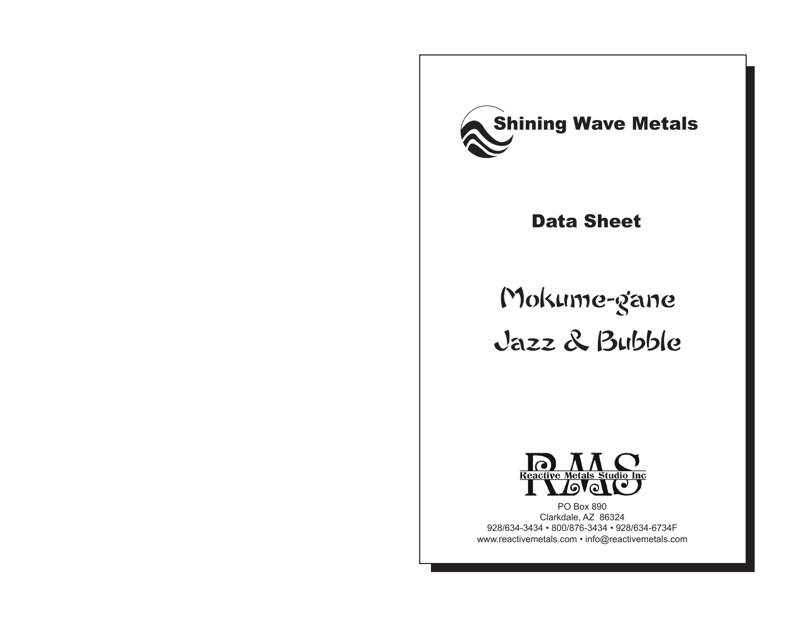

### Data Sheet

# Mokume-gane Jazz & Bubble



PO Box 890 Clarkdale, AZ 86324 928/634-3434 • 800/876-3434 • 928/634-6734F www.reactivemetals.com • info@reactivemetals.com